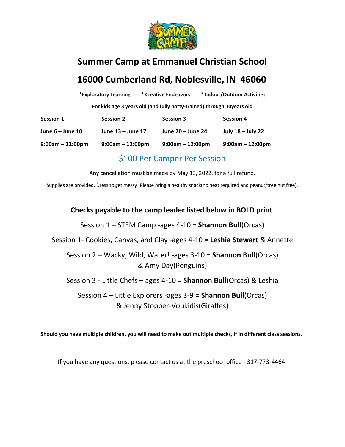

# **Summer Camp at Emmanuel Christian School 16000 Cumberland Rd, Noblesville, IN 46060**

|                     | *Exploratory Learning | * Creative Endeavors | * Indoor/Outdoor Activities                                            |
|---------------------|-----------------------|----------------------|------------------------------------------------------------------------|
|                     |                       |                      | For kids age 3 years old (and fully potty-trained) through 10years old |
| <b>Session 1</b>    | <b>Session 2</b>      | <b>Session 3</b>     | <b>Session 4</b>                                                       |
| June 6 – June 10    | June 13 – June 17     | June 20 – June 24    | July 18 - July 22                                                      |
| $9:00$ am – 12:00pm | $9:00am - 12:00pm$    | $9:00am - 12:00pm$   | $9:00am - 12:00pm$                                                     |
|                     |                       |                      |                                                                        |

#### \$100 Per Camper Per Session

Any cancellation must be made by May 13, 2022, for a full refund.

Supplies are provided. Dress to get messy! Please bring a healthy snack(no heat required and peanut/tree nut free).

**Checks payable to the camp leader listed below in BOLD print**.

Session 1 – STEM Camp -ages 4-10 = **Shannon Bull**(Orcas)

Session 1- Cookies, Canvas, and Clay -ages 4-10 = **Leshia Stewart** & Annette

Session 2 – Wacky, Wild, Water! -ages 3-10 = **Shannon Bull**(Orcas) & Amy Day(Penguins)

Session 3 - Little Chefs – ages 4-10 = **Shannon Bull**(Orcas) & Leshia

Session 4 – Little Explorers -ages 3-9 = **Shannon Bull**(Orcas) & Jenny Stopper-Voukidis(Giraffes)

**Should you have multiple children, you will need to make out multiple checks, if in different class sessions.**

If you have any questions, please contact us at the preschool office - 317-773-4464.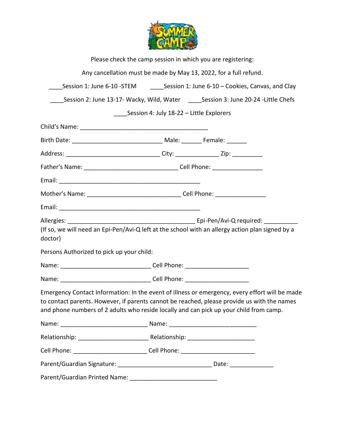

|                                                      | Please check the camp session in which you are registering:                                                                                                                                                                                                                             |  |  |
|------------------------------------------------------|-----------------------------------------------------------------------------------------------------------------------------------------------------------------------------------------------------------------------------------------------------------------------------------------|--|--|
|                                                      | Any cancellation must be made by May 13, 2022, for a full refund.                                                                                                                                                                                                                       |  |  |
|                                                      | Session 1: June 6-10 -STEM _________Session 1: June 6-10 - Cookies, Canvas, and Clay                                                                                                                                                                                                    |  |  |
|                                                      | Session 2: June 13-17- Wacky, Wild, Water _____Session 3: June 20-24 -Little Chefs                                                                                                                                                                                                      |  |  |
|                                                      | Session 4: July 18-22 – Little Explorers                                                                                                                                                                                                                                                |  |  |
|                                                      |                                                                                                                                                                                                                                                                                         |  |  |
|                                                      |                                                                                                                                                                                                                                                                                         |  |  |
|                                                      | Address: __________________________________City: _________________Zip: ___________                                                                                                                                                                                                      |  |  |
|                                                      |                                                                                                                                                                                                                                                                                         |  |  |
|                                                      |                                                                                                                                                                                                                                                                                         |  |  |
|                                                      |                                                                                                                                                                                                                                                                                         |  |  |
|                                                      |                                                                                                                                                                                                                                                                                         |  |  |
| doctor)<br>Persons Authorized to pick up your child: | (If so, we will need an Epi-Pen/Avi-Q left at the school with an allergy action plan signed by a                                                                                                                                                                                        |  |  |
|                                                      |                                                                                                                                                                                                                                                                                         |  |  |
|                                                      |                                                                                                                                                                                                                                                                                         |  |  |
|                                                      | Emergency Contact Information: In the event of illness or emergency, every effort will be made<br>to contact parents. However, if parents cannot be reached, please provide us with the names<br>and phone numbers of 2 adults who reside locally and can pick up your child from camp. |  |  |
|                                                      |                                                                                                                                                                                                                                                                                         |  |  |
|                                                      |                                                                                                                                                                                                                                                                                         |  |  |
|                                                      | Cell Phone: _____________________________Cell Phone: ___________________________                                                                                                                                                                                                        |  |  |
|                                                      |                                                                                                                                                                                                                                                                                         |  |  |
|                                                      |                                                                                                                                                                                                                                                                                         |  |  |